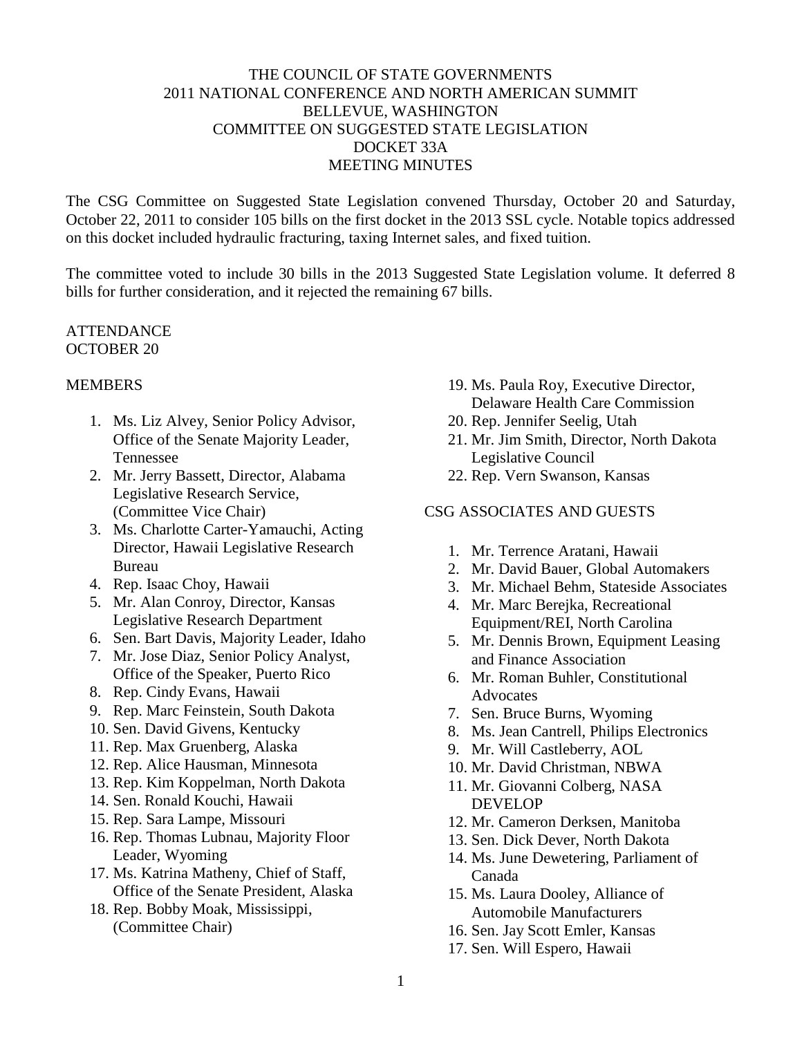### THE COUNCIL OF STATE GOVERNMENTS 2011 NATIONAL CONFERENCE AND NORTH AMERICAN SUMMIT BELLEVUE, WASHINGTON COMMITTEE ON SUGGESTED STATE LEGISLATION DOCKET 33A MEETING MINUTES

The CSG Committee on Suggested State Legislation convened Thursday, October 20 and Saturday, October 22, 2011 to consider 105 bills on the first docket in the 2013 SSL cycle. Notable topics addressed on this docket included hydraulic fracturing, taxing Internet sales, and fixed tuition.

The committee voted to include 30 bills in the 2013 Suggested State Legislation volume. It deferred 8 bills for further consideration, and it rejected the remaining 67 bills.

### **ATTENDANCE** OCTOBER 20

### MEMBERS

- 1. Ms. Liz Alvey, Senior Policy Advisor, Office of the Senate Majority Leader, Tennessee
- 2. Mr. Jerry Bassett, Director, Alabama Legislative Research Service, (Committee Vice Chair)
- 3. Ms. Charlotte Carter-Yamauchi, Acting Director, Hawaii Legislative Research Bureau
- 4. Rep. Isaac Choy, Hawaii
- 5. Mr. Alan Conroy, Director, Kansas Legislative Research Department
- 6. Sen. Bart Davis, Majority Leader, Idaho
- 7. Mr. Jose Diaz, Senior Policy Analyst, Office of the Speaker, Puerto Rico
- 8. Rep. Cindy Evans, Hawaii
- 9. Rep. Marc Feinstein, South Dakota
- 10. Sen. David Givens, Kentucky
- 11. Rep. Max Gruenberg, Alaska
- 12. Rep. Alice Hausman, Minnesota
- 13. Rep. Kim Koppelman, North Dakota
- 14. Sen. Ronald Kouchi, Hawaii
- 15. Rep. Sara Lampe, Missouri
- 16. Rep. Thomas Lubnau, Majority Floor Leader, Wyoming
- 17. Ms. Katrina Matheny, Chief of Staff, Office of the Senate President, Alaska
- 18. Rep. Bobby Moak, Mississippi, (Committee Chair)
- 19. Ms. Paula Roy, Executive Director, Delaware Health Care Commission
- 20. Rep. Jennifer Seelig, Utah
- 21. Mr. Jim Smith, Director, North Dakota Legislative Council
- 22. Rep. Vern Swanson, Kansas

# CSG ASSOCIATES AND GUESTS

- 1. Mr. Terrence Aratani, Hawaii
- 2. Mr. David Bauer, Global Automakers
- 3. Mr. Michael Behm, Stateside Associates
- 4. Mr. Marc Berejka, Recreational Equipment/REI, North Carolina
- 5. Mr. Dennis Brown, Equipment Leasing and Finance Association
- 6. Mr. Roman Buhler, Constitutional **Advocates**
- 7. Sen. Bruce Burns, Wyoming
- 8. Ms. Jean Cantrell, Philips Electronics
- 9. Mr. Will Castleberry, AOL
- 10. Mr. David Christman, NBWA
- 11. Mr. Giovanni Colberg, NASA DEVELOP
- 12. Mr. Cameron Derksen, Manitoba
- 13. Sen. Dick Dever, North Dakota
- 14. Ms. June Dewetering, Parliament of Canada
- 15. Ms. Laura Dooley, Alliance of Automobile Manufacturers
- 16. Sen. Jay Scott Emler, Kansas
- 17. Sen. Will Espero, Hawaii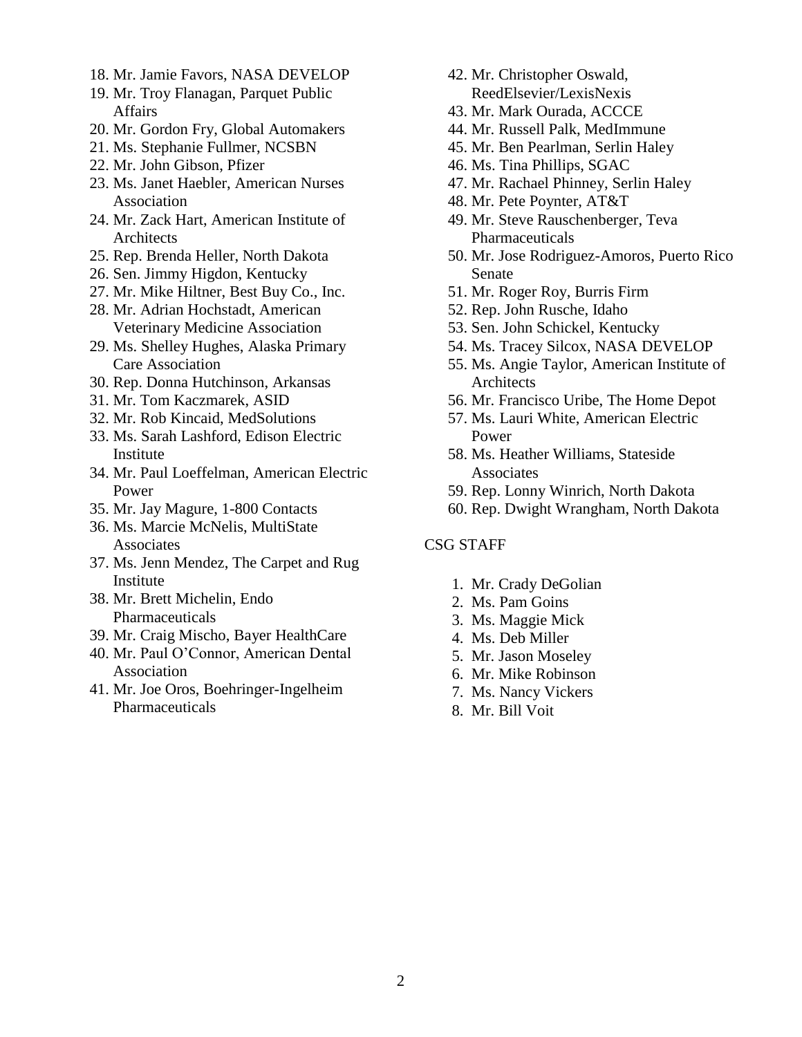- 18. Mr. Jamie Favors, NASA DEVELOP
- 19. Mr. Troy Flanagan, Parquet Public **Affairs**
- 20. Mr. Gordon Fry, Global Automakers
- 21. Ms. Stephanie Fullmer, NCSBN
- 22. Mr. John Gibson, Pfizer
- 23. Ms. Janet Haebler, American Nurses Association
- 24. Mr. Zack Hart, American Institute of Architects
- 25. Rep. Brenda Heller, North Dakota
- 26. Sen. Jimmy Higdon, Kentucky
- 27. Mr. Mike Hiltner, Best Buy Co., Inc.
- 28. Mr. Adrian Hochstadt, American Veterinary Medicine Association
- 29. Ms. Shelley Hughes, Alaska Primary Care Association
- 30. Rep. Donna Hutchinson, Arkansas
- 31. Mr. Tom Kaczmarek, ASID
- 32. Mr. Rob Kincaid, MedSolutions
- 33. Ms. Sarah Lashford, Edison Electric Institute
- 34. Mr. Paul Loeffelman, American Electric Power
- 35. Mr. Jay Magure, 1-800 Contacts
- 36. Ms. Marcie McNelis, MultiState **Associates**
- 37. Ms. Jenn Mendez, The Carpet and Rug Institute
- 38. Mr. Brett Michelin, Endo Pharmaceuticals
- 39. Mr. Craig Mischo, Bayer HealthCare
- 40. Mr. Paul O'Connor, American Dental Association
- 41. Mr. Joe Oros, Boehringer-Ingelheim Pharmaceuticals
- 42. Mr. Christopher Oswald, ReedElsevier/LexisNexis
- 43. Mr. Mark Ourada, ACCCE
- 44. Mr. Russell Palk, MedImmune
- 45. Mr. Ben Pearlman, Serlin Haley
- 46. Ms. Tina Phillips, SGAC
- 47. Mr. Rachael Phinney, Serlin Haley
- 48. Mr. Pete Poynter, AT&T
- 49. Mr. Steve Rauschenberger, Teva Pharmaceuticals
- 50. Mr. Jose Rodriguez-Amoros, Puerto Rico Senate
- 51. Mr. Roger Roy, Burris Firm
- 52. Rep. John Rusche, Idaho
- 53. Sen. John Schickel, Kentucky
- 54. Ms. Tracey Silcox, NASA DEVELOP
- 55. Ms. Angie Taylor, American Institute of **Architects**
- 56. Mr. Francisco Uribe, The Home Depot
- 57. Ms. Lauri White, American Electric Power
- 58. Ms. Heather Williams, Stateside **Associates**
- 59. Rep. Lonny Winrich, North Dakota
- 60. Rep. Dwight Wrangham, North Dakota

#### CSG STAFF

- 1. Mr. Crady DeGolian
- 2. Ms. Pam Goins
- 3. Ms. Maggie Mick
- 4. Ms. Deb Miller
- 5. Mr. Jason Moseley
- 6. Mr. Mike Robinson
- 7. Ms. Nancy Vickers
- 8. Mr. Bill Voit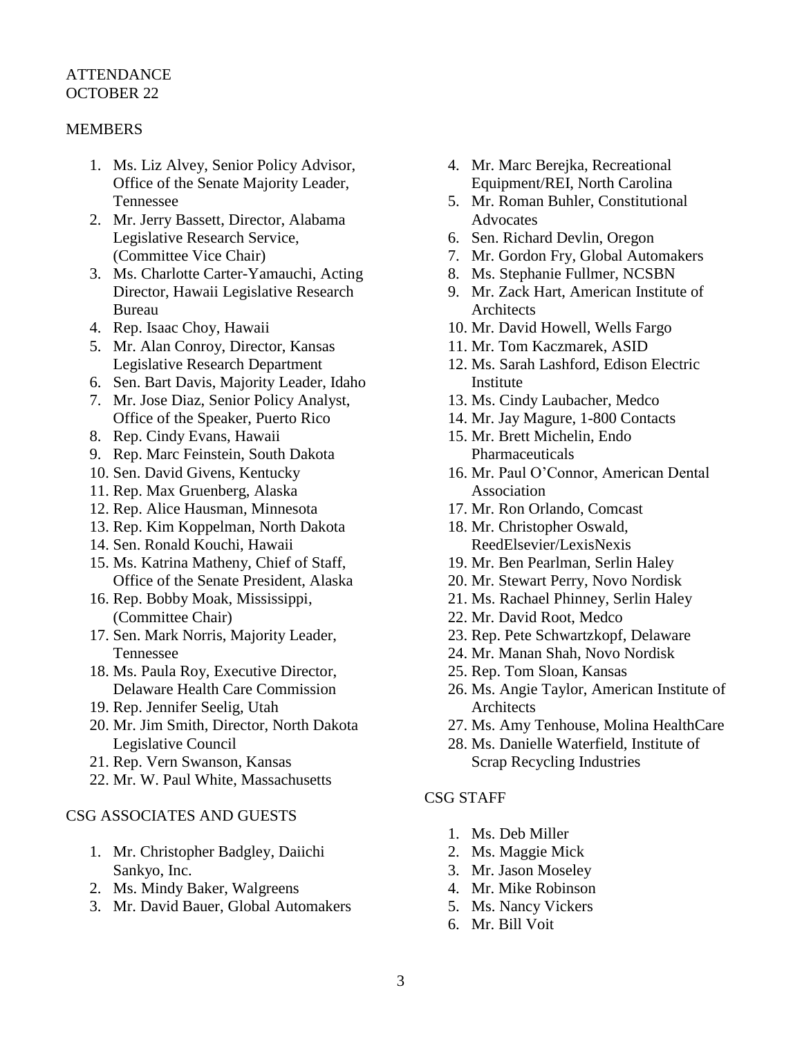#### ATTENDANCE OCTOBER 22

### **MEMBERS**

- 1. Ms. Liz Alvey, Senior Policy Advisor, Office of the Senate Majority Leader, Tennessee
- 2. Mr. Jerry Bassett, Director, Alabama Legislative Research Service, (Committee Vice Chair)
- 3. Ms. Charlotte Carter-Yamauchi, Acting Director, Hawaii Legislative Research Bureau
- 4. Rep. Isaac Choy, Hawaii
- 5. Mr. Alan Conroy, Director, Kansas Legislative Research Department
- 6. Sen. Bart Davis, Majority Leader, Idaho
- 7. Mr. Jose Diaz, Senior Policy Analyst, Office of the Speaker, Puerto Rico
- 8. Rep. Cindy Evans, Hawaii
- 9. Rep. Marc Feinstein, South Dakota
- 10. Sen. David Givens, Kentucky
- 11. Rep. Max Gruenberg, Alaska
- 12. Rep. Alice Hausman, Minnesota
- 13. Rep. Kim Koppelman, North Dakota
- 14. Sen. Ronald Kouchi, Hawaii
- 15. Ms. Katrina Matheny, Chief of Staff, Office of the Senate President, Alaska
- 16. Rep. Bobby Moak, Mississippi, (Committee Chair)
- 17. Sen. Mark Norris, Majority Leader, Tennessee
- 18. Ms. Paula Roy, Executive Director, Delaware Health Care Commission
- 19. Rep. Jennifer Seelig, Utah
- 20. Mr. Jim Smith, Director, North Dakota Legislative Council
- 21. Rep. Vern Swanson, Kansas
- 22. Mr. W. Paul White, Massachusetts

#### CSG ASSOCIATES AND GUESTS

- 1. Mr. Christopher Badgley, Daiichi Sankyo, Inc.
- 2. Ms. Mindy Baker, Walgreens
- 3. Mr. David Bauer, Global Automakers
- 4. Mr. Marc Berejka, Recreational Equipment/REI, North Carolina
- 5. Mr. Roman Buhler, Constitutional Advocates
- 6. Sen. Richard Devlin, Oregon
- 7. Mr. Gordon Fry, Global Automakers
- 8. Ms. Stephanie Fullmer, NCSBN
- 9. Mr. Zack Hart, American Institute of **Architects**
- 10. Mr. David Howell, Wells Fargo
- 11. Mr. Tom Kaczmarek, ASID
- 12. Ms. Sarah Lashford, Edison Electric **Institute**
- 13. Ms. Cindy Laubacher, Medco
- 14. Mr. Jay Magure, 1-800 Contacts
- 15. Mr. Brett Michelin, Endo Pharmaceuticals
- 16. Mr. Paul O'Connor, American Dental Association
- 17. Mr. Ron Orlando, Comcast
- 18. Mr. Christopher Oswald, ReedElsevier/LexisNexis
- 19. Mr. Ben Pearlman, Serlin Haley
- 20. Mr. Stewart Perry, Novo Nordisk
- 21. Ms. Rachael Phinney, Serlin Haley
- 22. Mr. David Root, Medco
- 23. Rep. Pete Schwartzkopf, Delaware
- 24. Mr. Manan Shah, Novo Nordisk
- 25. Rep. Tom Sloan, Kansas
- 26. Ms. Angie Taylor, American Institute of Architects
- 27. Ms. Amy Tenhouse, Molina HealthCare
- 28. Ms. Danielle Waterfield, Institute of Scrap Recycling Industries

### CSG STAFF

- 1. Ms. Deb Miller
- 2. Ms. Maggie Mick
- 3. Mr. Jason Moseley
- 4. Mr. Mike Robinson
- 5. Ms. Nancy Vickers
- 6. Mr. Bill Voit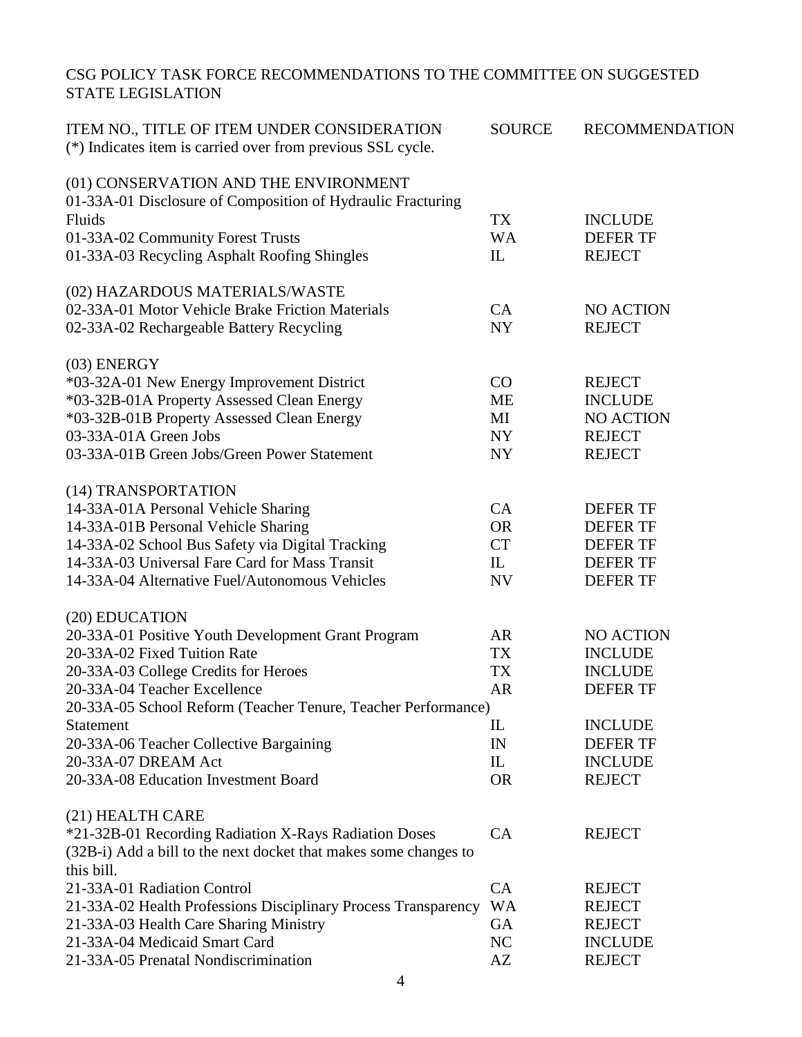# CSG POLICY TASK FORCE RECOMMENDATIONS TO THE COMMITTEE ON SUGGESTED STATE LEGISLATION

| ITEM NO., TITLE OF ITEM UNDER CONSIDERATION<br>(*) Indicates item is carried over from previous SSL cycle. | <b>SOURCE</b>                   | <b>RECOMMENDATION</b> |
|------------------------------------------------------------------------------------------------------------|---------------------------------|-----------------------|
| (01) CONSERVATION AND THE ENVIRONMENT                                                                      |                                 |                       |
| 01-33A-01 Disclosure of Composition of Hydraulic Fracturing                                                |                                 |                       |
| Fluids                                                                                                     | <b>TX</b>                       | <b>INCLUDE</b>        |
| 01-33A-02 Community Forest Trusts                                                                          | <b>WA</b>                       | <b>DEFER TF</b>       |
| 01-33A-03 Recycling Asphalt Roofing Shingles                                                               | IL                              | <b>REJECT</b>         |
| (02) HAZARDOUS MATERIALS/WASTE                                                                             |                                 |                       |
| 02-33A-01 Motor Vehicle Brake Friction Materials                                                           | CA                              | <b>NO ACTION</b>      |
| 02-33A-02 Rechargeable Battery Recycling                                                                   | <b>NY</b>                       | <b>REJECT</b>         |
| $(03)$ ENERGY                                                                                              |                                 |                       |
| *03-32A-01 New Energy Improvement District                                                                 | CO                              | <b>REJECT</b>         |
| *03-32B-01A Property Assessed Clean Energy                                                                 | <b>ME</b>                       | <b>INCLUDE</b>        |
| *03-32B-01B Property Assessed Clean Energy                                                                 | MI                              | <b>NO ACTION</b>      |
| 03-33A-01A Green Jobs                                                                                      | NY                              | <b>REJECT</b>         |
| 03-33A-01B Green Jobs/Green Power Statement                                                                | <b>NY</b>                       | <b>REJECT</b>         |
| (14) TRANSPORTATION                                                                                        |                                 |                       |
| 14-33A-01A Personal Vehicle Sharing                                                                        | CA                              | <b>DEFER TF</b>       |
| 14-33A-01B Personal Vehicle Sharing                                                                        | <b>OR</b>                       | <b>DEFER TF</b>       |
| 14-33A-02 School Bus Safety via Digital Tracking                                                           | <b>CT</b>                       | <b>DEFER TF</b>       |
| 14-33A-03 Universal Fare Card for Mass Transit                                                             | $\mathbf{L}$                    | <b>DEFER TF</b>       |
| 14-33A-04 Alternative Fuel/Autonomous Vehicles                                                             | <b>NV</b>                       | <b>DEFER TF</b>       |
| (20) EDUCATION                                                                                             |                                 |                       |
| 20-33A-01 Positive Youth Development Grant Program                                                         | AR                              | <b>NO ACTION</b>      |
| 20-33A-02 Fixed Tuition Rate                                                                               | TX                              | <b>INCLUDE</b>        |
| 20-33A-03 College Credits for Heroes                                                                       | <b>TX</b>                       | <b>INCLUDE</b>        |
| 20-33A-04 Teacher Excellence                                                                               | <b>AR</b>                       | <b>DEFER TF</b>       |
| 20-33A-05 School Reform (Teacher Tenure, Teacher Performance)                                              |                                 |                       |
| Statement                                                                                                  | $\mathop{\mathrm{IL}}\nolimits$ | <b>INCLUDE</b>        |
| 20-33A-06 Teacher Collective Bargaining                                                                    | IN                              | <b>DEFER TF</b>       |
| 20-33A-07 DREAM Act                                                                                        | IL                              | <b>INCLUDE</b>        |
| 20-33A-08 Education Investment Board                                                                       | <b>OR</b>                       | <b>REJECT</b>         |
| (21) HEALTH CARE                                                                                           |                                 |                       |
| *21-32B-01 Recording Radiation X-Rays Radiation Doses                                                      | CA                              | <b>REJECT</b>         |
| (32B-i) Add a bill to the next docket that makes some changes to                                           |                                 |                       |
| this bill.                                                                                                 |                                 |                       |
| 21-33A-01 Radiation Control                                                                                | CA                              | <b>REJECT</b>         |
| 21-33A-02 Health Professions Disciplinary Process Transparency                                             | <b>WA</b>                       | <b>REJECT</b>         |
| 21-33A-03 Health Care Sharing Ministry                                                                     | GA                              | <b>REJECT</b>         |
| 21-33A-04 Medicaid Smart Card                                                                              | NC                              | <b>INCLUDE</b>        |
| 21-33A-05 Prenatal Nondiscrimination                                                                       | AZ                              | <b>REJECT</b>         |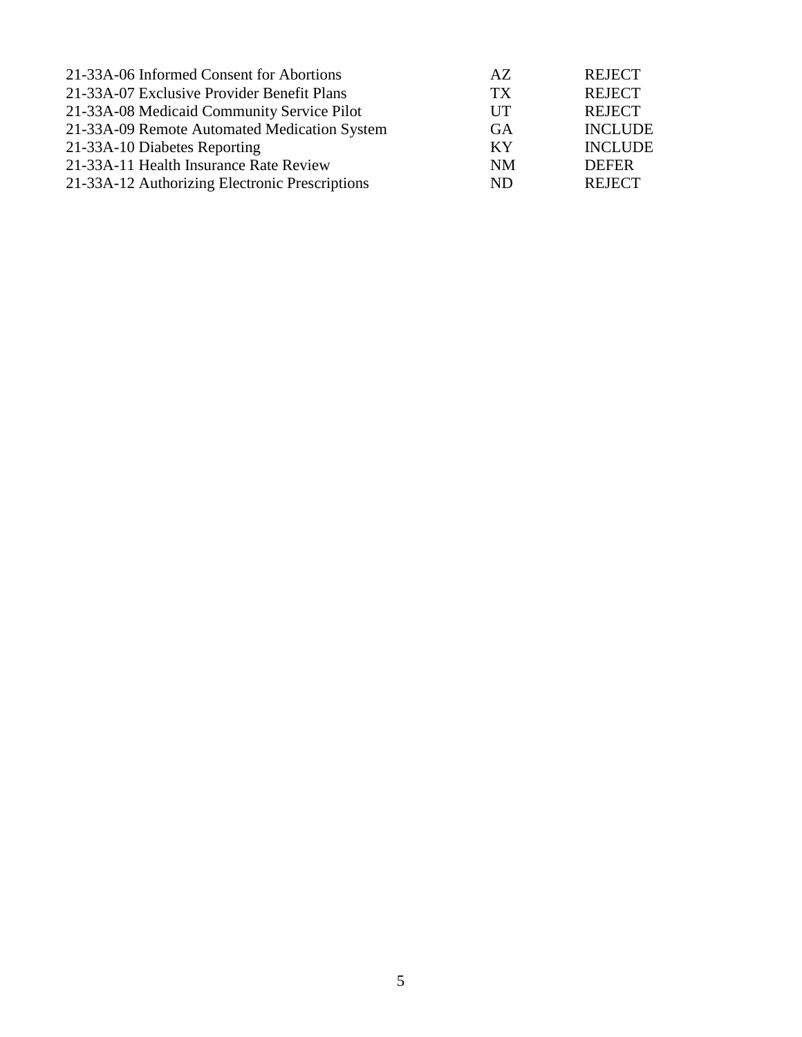| 21-33A-06 Informed Consent for Abortions       | AZ.             | <b>REJECT</b>  |
|------------------------------------------------|-----------------|----------------|
| 21-33A-07 Exclusive Provider Benefit Plans     | TX <sup>-</sup> | <b>REJECT</b>  |
| 21-33A-08 Medicaid Community Service Pilot     | UT              | <b>REJECT</b>  |
| 21-33A-09 Remote Automated Medication System   | <b>GA</b>       | <b>INCLUDE</b> |
| 21-33A-10 Diabetes Reporting                   | KY              | <b>INCLUDE</b> |
| 21-33A-11 Health Insurance Rate Review         | <b>NM</b>       | <b>DEFER</b>   |
| 21-33A-12 Authorizing Electronic Prescriptions | ND.             | <b>REJECT</b>  |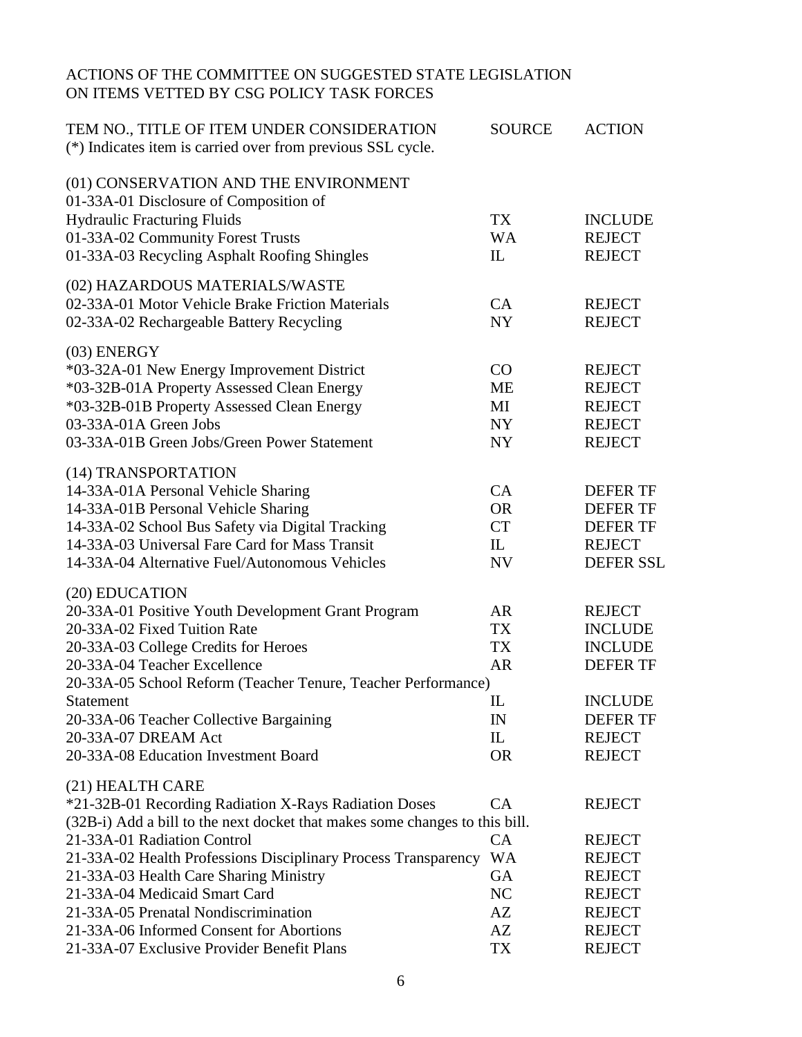# ACTIONS OF THE COMMITTEE ON SUGGESTED STATE LEGISLATION ON ITEMS VETTED BY CSG POLICY TASK FORCES

| TEM NO., TITLE OF ITEM UNDER CONSIDERATION<br>(*) Indicates item is carried over from previous SSL cycle.                                                                                                      | <b>SOURCE</b>                                  | <b>ACTION</b>                                                                     |
|----------------------------------------------------------------------------------------------------------------------------------------------------------------------------------------------------------------|------------------------------------------------|-----------------------------------------------------------------------------------|
| (01) CONSERVATION AND THE ENVIRONMENT<br>01-33A-01 Disclosure of Composition of<br><b>Hydraulic Fracturing Fluids</b><br>01-33A-02 Community Forest Trusts<br>01-33A-03 Recycling Asphalt Roofing Shingles     | <b>TX</b><br><b>WA</b><br>$\mathop{\text{IL}}$ | <b>INCLUDE</b><br><b>REJECT</b><br><b>REJECT</b>                                  |
|                                                                                                                                                                                                                |                                                |                                                                                   |
| (02) HAZARDOUS MATERIALS/WASTE<br>02-33A-01 Motor Vehicle Brake Friction Materials<br>02-33A-02 Rechargeable Battery Recycling                                                                                 | CA<br><b>NY</b>                                | <b>REJECT</b><br><b>REJECT</b>                                                    |
| (03) ENERGY                                                                                                                                                                                                    |                                                |                                                                                   |
| *03-32A-01 New Energy Improvement District<br>*03-32B-01A Property Assessed Clean Energy<br>*03-32B-01B Property Assessed Clean Energy<br>03-33A-01A Green Jobs<br>03-33A-01B Green Jobs/Green Power Statement | CO<br><b>ME</b><br>MI<br>NY<br><b>NY</b>       | <b>REJECT</b><br><b>REJECT</b><br><b>REJECT</b><br><b>REJECT</b><br><b>REJECT</b> |
| (14) TRANSPORTATION                                                                                                                                                                                            |                                                |                                                                                   |
| 14-33A-01A Personal Vehicle Sharing                                                                                                                                                                            | CA                                             | <b>DEFER TF</b>                                                                   |
| 14-33A-01B Personal Vehicle Sharing                                                                                                                                                                            | <b>OR</b>                                      | <b>DEFER TF</b>                                                                   |
| 14-33A-02 School Bus Safety via Digital Tracking                                                                                                                                                               | <b>CT</b>                                      | <b>DEFER TF</b>                                                                   |
| 14-33A-03 Universal Fare Card for Mass Transit                                                                                                                                                                 | IL                                             | <b>REJECT</b>                                                                     |
| 14-33A-04 Alternative Fuel/Autonomous Vehicles                                                                                                                                                                 | <b>NV</b>                                      | <b>DEFER SSL</b>                                                                  |
| (20) EDUCATION                                                                                                                                                                                                 |                                                |                                                                                   |
| 20-33A-01 Positive Youth Development Grant Program                                                                                                                                                             | <b>AR</b>                                      | <b>REJECT</b>                                                                     |
| 20-33A-02 Fixed Tuition Rate                                                                                                                                                                                   | <b>TX</b>                                      | <b>INCLUDE</b>                                                                    |
| 20-33A-03 College Credits for Heroes                                                                                                                                                                           | <b>TX</b>                                      | <b>INCLUDE</b>                                                                    |
| 20-33A-04 Teacher Excellence                                                                                                                                                                                   | <b>AR</b>                                      | <b>DEFER TF</b>                                                                   |
| 20-33A-05 School Reform (Teacher Tenure, Teacher Performance)                                                                                                                                                  |                                                |                                                                                   |
| Statement                                                                                                                                                                                                      | $_{\rm IL}$                                    | <b>INCLUDE</b>                                                                    |
| 20-33A-06 Teacher Collective Bargaining                                                                                                                                                                        | IN                                             | <b>DEFER TF</b>                                                                   |
| 20-33A-07 DREAM Act<br>20-33A-08 Education Investment Board                                                                                                                                                    | $\mathbb{L}$<br><b>OR</b>                      | <b>REJECT</b><br><b>REJECT</b>                                                    |
|                                                                                                                                                                                                                |                                                |                                                                                   |
| (21) HEALTH CARE                                                                                                                                                                                               |                                                |                                                                                   |
| *21-32B-01 Recording Radiation X-Rays Radiation Doses                                                                                                                                                          | CA                                             | <b>REJECT</b>                                                                     |
| (32B-i) Add a bill to the next docket that makes some changes to this bill.                                                                                                                                    |                                                |                                                                                   |
| 21-33A-01 Radiation Control                                                                                                                                                                                    | CA                                             | <b>REJECT</b>                                                                     |
| 21-33A-02 Health Professions Disciplinary Process Transparency                                                                                                                                                 | <b>WA</b>                                      | <b>REJECT</b>                                                                     |
| 21-33A-03 Health Care Sharing Ministry                                                                                                                                                                         | <b>GA</b>                                      | <b>REJECT</b>                                                                     |
| 21-33A-04 Medicaid Smart Card<br>21-33A-05 Prenatal Nondiscrimination                                                                                                                                          | NC<br>AZ                                       | <b>REJECT</b>                                                                     |
| 21-33A-06 Informed Consent for Abortions                                                                                                                                                                       | AZ                                             | <b>REJECT</b>                                                                     |
|                                                                                                                                                                                                                | <b>TX</b>                                      | <b>REJECT</b>                                                                     |
| 21-33A-07 Exclusive Provider Benefit Plans                                                                                                                                                                     |                                                | <b>REJECT</b>                                                                     |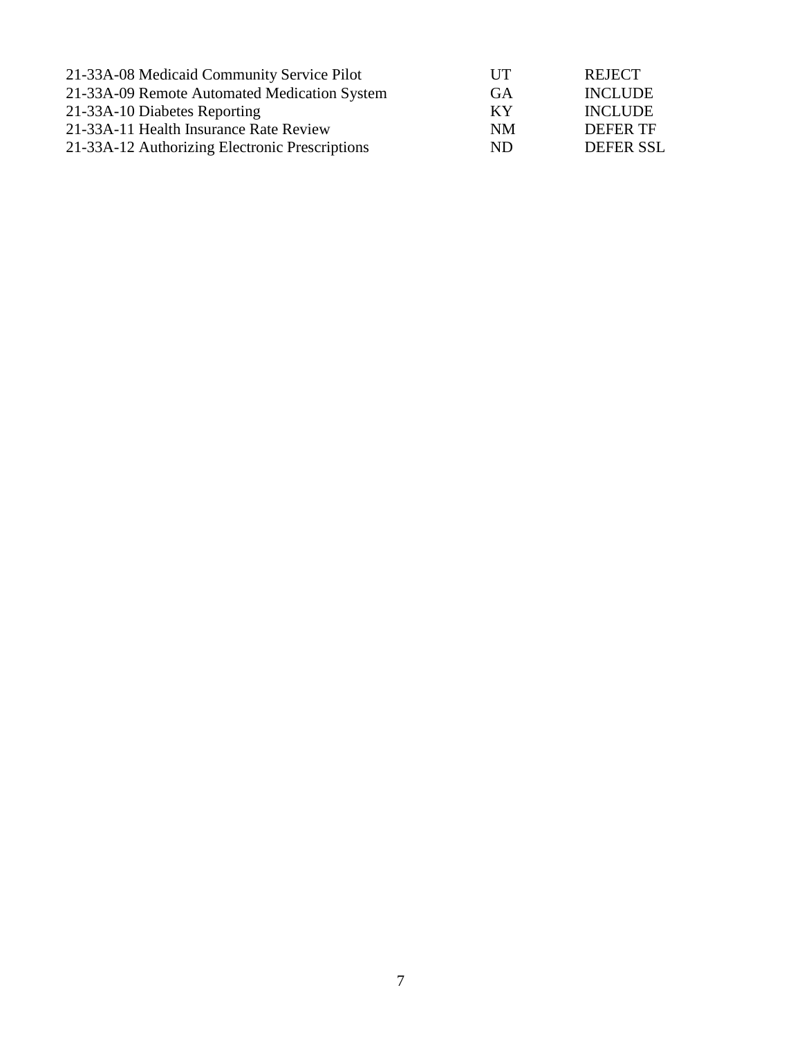| 21-33A-08 Medicaid Community Service Pilot     | UT  | <b>REJECT</b>  |
|------------------------------------------------|-----|----------------|
| 21-33A-09 Remote Automated Medication System   | GA  | <b>INCLUDE</b> |
| 21-33A-10 Diabetes Reporting                   | KY  | <b>INCLUDE</b> |
| 21-33A-11 Health Insurance Rate Review         | NM  | DEFER TF       |
| 21-33A-12 Authorizing Electronic Prescriptions | ND. | DEFER SSL      |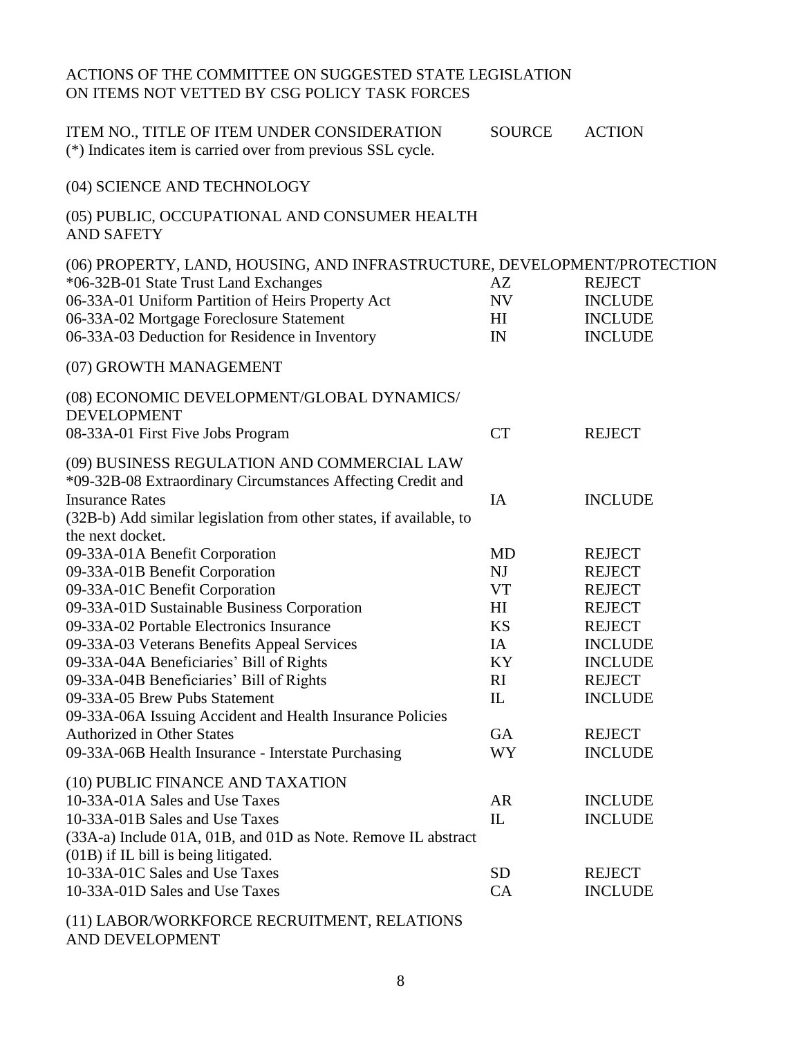# ACTIONS OF THE COMMITTEE ON SUGGESTED STATE LEGISLATION ON ITEMS NOT VETTED BY CSG POLICY TASK FORCES

| ITEM NO., TITLE OF ITEM UNDER CONSIDERATION<br>(*) Indicates item is carried over from previous SSL cycle.                                | <b>SOURCE</b>          | <b>ACTION</b>                   |
|-------------------------------------------------------------------------------------------------------------------------------------------|------------------------|---------------------------------|
| (04) SCIENCE AND TECHNOLOGY                                                                                                               |                        |                                 |
| (05) PUBLIC, OCCUPATIONAL AND CONSUMER HEALTH<br><b>AND SAFETY</b>                                                                        |                        |                                 |
| (06) PROPERTY, LAND, HOUSING, AND INFRASTRUCTURE, DEVELOPMENT/PROTECTION                                                                  |                        |                                 |
| *06-32B-01 State Trust Land Exchanges                                                                                                     | AZ                     | <b>REJECT</b>                   |
| 06-33A-01 Uniform Partition of Heirs Property Act                                                                                         | NV                     | <b>INCLUDE</b>                  |
| 06-33A-02 Mortgage Foreclosure Statement                                                                                                  | $\mathop{\mathrm{HI}}$ | <b>INCLUDE</b>                  |
| 06-33A-03 Deduction for Residence in Inventory                                                                                            | IN                     | <b>INCLUDE</b>                  |
| (07) GROWTH MANAGEMENT                                                                                                                    |                        |                                 |
| (08) ECONOMIC DEVELOPMENT/GLOBAL DYNAMICS/<br><b>DEVELOPMENT</b>                                                                          |                        |                                 |
| 08-33A-01 First Five Jobs Program                                                                                                         | <b>CT</b>              | <b>REJECT</b>                   |
| (09) BUSINESS REGULATION AND COMMERCIAL LAW<br>*09-32B-08 Extraordinary Circumstances Affecting Credit and<br><b>Insurance Rates</b>      | IA                     | <b>INCLUDE</b>                  |
| (32B-b) Add similar legislation from other states, if available, to                                                                       |                        |                                 |
| the next docket.                                                                                                                          |                        |                                 |
| 09-33A-01A Benefit Corporation                                                                                                            | MD                     | <b>REJECT</b>                   |
| 09-33A-01B Benefit Corporation                                                                                                            | NJ                     | <b>REJECT</b>                   |
| 09-33A-01C Benefit Corporation                                                                                                            | <b>VT</b>              | <b>REJECT</b>                   |
| 09-33A-01D Sustainable Business Corporation                                                                                               | H <sub>I</sub>         | <b>REJECT</b>                   |
| 09-33A-02 Portable Electronics Insurance                                                                                                  | <b>KS</b>              | <b>REJECT</b>                   |
| 09-33A-03 Veterans Benefits Appeal Services                                                                                               | IA                     | <b>INCLUDE</b>                  |
| 09-33A-04A Beneficiaries' Bill of Rights                                                                                                  | KY<br>RI               | <b>INCLUDE</b><br><b>REJECT</b> |
| 09-33A-04B Beneficiaries' Bill of Rights<br>09-33A-05 Brew Pubs Statement                                                                 | $\mathbb{L}$           | <b>INCLUDE</b>                  |
| 09-33A-06A Issuing Accident and Health Insurance Policies                                                                                 |                        |                                 |
| <b>Authorized in Other States</b>                                                                                                         | <b>GA</b>              | <b>REJECT</b>                   |
| 09-33A-06B Health Insurance - Interstate Purchasing                                                                                       | WY                     | <b>INCLUDE</b>                  |
|                                                                                                                                           |                        |                                 |
| (10) PUBLIC FINANCE AND TAXATION                                                                                                          |                        |                                 |
| 10-33A-01A Sales and Use Taxes                                                                                                            | AR                     | <b>INCLUDE</b>                  |
| 10-33A-01B Sales and Use Taxes<br>(33A-a) Include 01A, 01B, and 01D as Note. Remove IL abstract<br>$(01B)$ if IL bill is being litigated. | IL                     | <b>INCLUDE</b>                  |
| 10-33A-01C Sales and Use Taxes                                                                                                            | <b>SD</b>              | <b>REJECT</b>                   |
| 10-33A-01D Sales and Use Taxes                                                                                                            | CA                     | <b>INCLUDE</b>                  |
| (11) LABOR/WORKFORCE RECRUITMENT, RELATIONS                                                                                               |                        |                                 |

AND DEVELOPMENT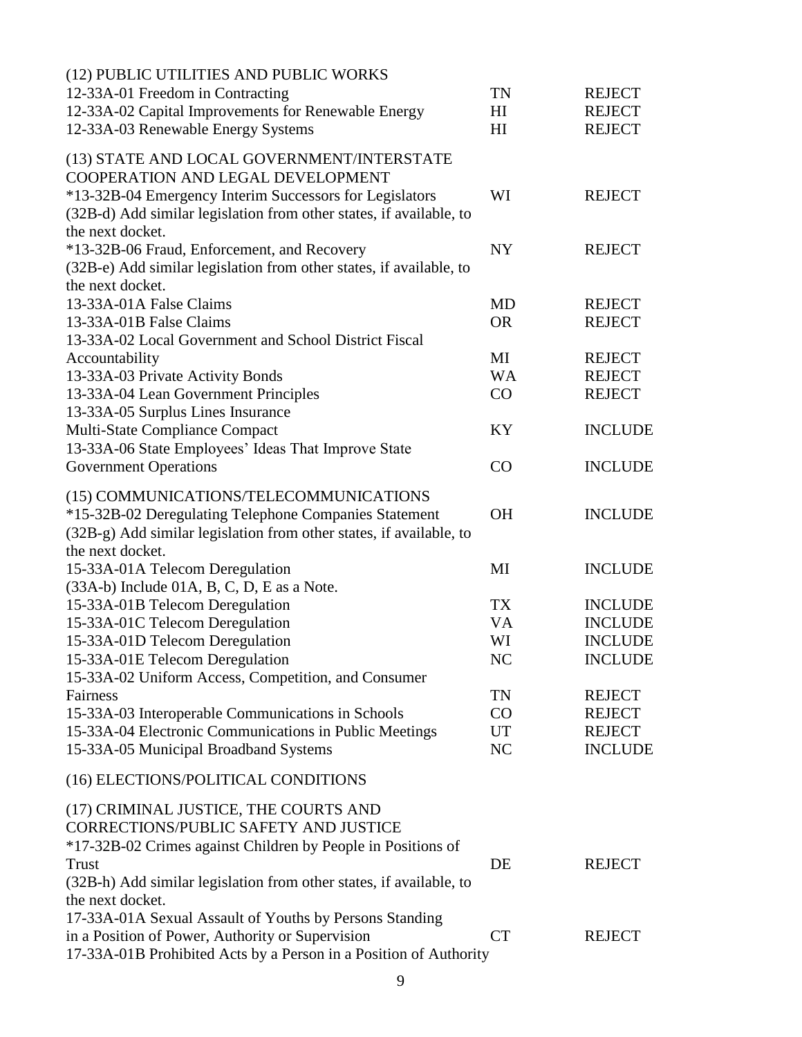| (12) PUBLIC UTILITIES AND PUBLIC WORKS                                                                                         |                 |                |
|--------------------------------------------------------------------------------------------------------------------------------|-----------------|----------------|
| 12-33A-01 Freedom in Contracting                                                                                               | <b>TN</b>       | <b>REJECT</b>  |
| 12-33A-02 Capital Improvements for Renewable Energy                                                                            | H <sub>I</sub>  | <b>REJECT</b>  |
| 12-33A-03 Renewable Energy Systems                                                                                             | H <sub>I</sub>  | <b>REJECT</b>  |
| (13) STATE AND LOCAL GOVERNMENT/INTERSTATE<br>COOPERATION AND LEGAL DEVELOPMENT                                                |                 |                |
| *13-32B-04 Emergency Interim Successors for Legislators<br>(32B-d) Add similar legislation from other states, if available, to | WI              | <b>REJECT</b>  |
| the next docket.                                                                                                               |                 |                |
| *13-32B-06 Fraud, Enforcement, and Recovery                                                                                    | <b>NY</b>       | <b>REJECT</b>  |
| (32B-e) Add similar legislation from other states, if available, to                                                            |                 |                |
| the next docket.                                                                                                               |                 |                |
| 13-33A-01A False Claims                                                                                                        | MD              | <b>REJECT</b>  |
| 13-33A-01B False Claims                                                                                                        | <b>OR</b>       | <b>REJECT</b>  |
| 13-33A-02 Local Government and School District Fiscal                                                                          |                 |                |
| Accountability                                                                                                                 | MI              | <b>REJECT</b>  |
| 13-33A-03 Private Activity Bonds                                                                                               | <b>WA</b><br>CO | <b>REJECT</b>  |
| 13-33A-04 Lean Government Principles<br>13-33A-05 Surplus Lines Insurance                                                      |                 | <b>REJECT</b>  |
| Multi-State Compliance Compact                                                                                                 | KY              | <b>INCLUDE</b> |
| 13-33A-06 State Employees' Ideas That Improve State                                                                            |                 |                |
| <b>Government Operations</b>                                                                                                   | CO              | <b>INCLUDE</b> |
|                                                                                                                                |                 |                |
| (15) COMMUNICATIONS/TELECOMMUNICATIONS                                                                                         |                 |                |
| *15-32B-02 Deregulating Telephone Companies Statement                                                                          | <b>OH</b>       | <b>INCLUDE</b> |
| (32B-g) Add similar legislation from other states, if available, to                                                            |                 |                |
| the next docket.                                                                                                               |                 |                |
| 15-33A-01A Telecom Deregulation                                                                                                | MI              | <b>INCLUDE</b> |
| (33A-b) Include 01A, B, C, D, E as a Note.                                                                                     |                 |                |
| 15-33A-01B Telecom Deregulation                                                                                                | <b>TX</b>       | <b>INCLUDE</b> |
| 15-33A-01C Telecom Deregulation                                                                                                | <b>VA</b>       | <b>INCLUDE</b> |
| 15-33A-01D Telecom Deregulation                                                                                                | WI              | <b>INCLUDE</b> |
| 15-33A-01E Telecom Deregulation                                                                                                | N <sub>C</sub>  | <b>INCLUDE</b> |
| 15-33A-02 Uniform Access, Competition, and Consumer                                                                            |                 |                |
| Fairness                                                                                                                       | TN              | <b>REJECT</b>  |
| 15-33A-03 Interoperable Communications in Schools                                                                              | CO              | <b>REJECT</b>  |
| 15-33A-04 Electronic Communications in Public Meetings                                                                         | UT              | <b>REJECT</b>  |
| 15-33A-05 Municipal Broadband Systems                                                                                          | NC              | <b>INCLUDE</b> |
| (16) ELECTIONS/POLITICAL CONDITIONS                                                                                            |                 |                |
| (17) CRIMINAL JUSTICE, THE COURTS AND                                                                                          |                 |                |
| CORRECTIONS/PUBLIC SAFETY AND JUSTICE                                                                                          |                 |                |
| *17-32B-02 Crimes against Children by People in Positions of                                                                   |                 |                |
| <b>Trust</b>                                                                                                                   | DE              | <b>REJECT</b>  |
| (32B-h) Add similar legislation from other states, if available, to                                                            |                 |                |
| the next docket.                                                                                                               |                 |                |
| 17-33A-01A Sexual Assault of Youths by Persons Standing                                                                        |                 |                |
| in a Position of Power, Authority or Supervision                                                                               | <b>CT</b>       | <b>REJECT</b>  |
| 17-33A-01B Prohibited Acts by a Person in a Position of Authority                                                              |                 |                |